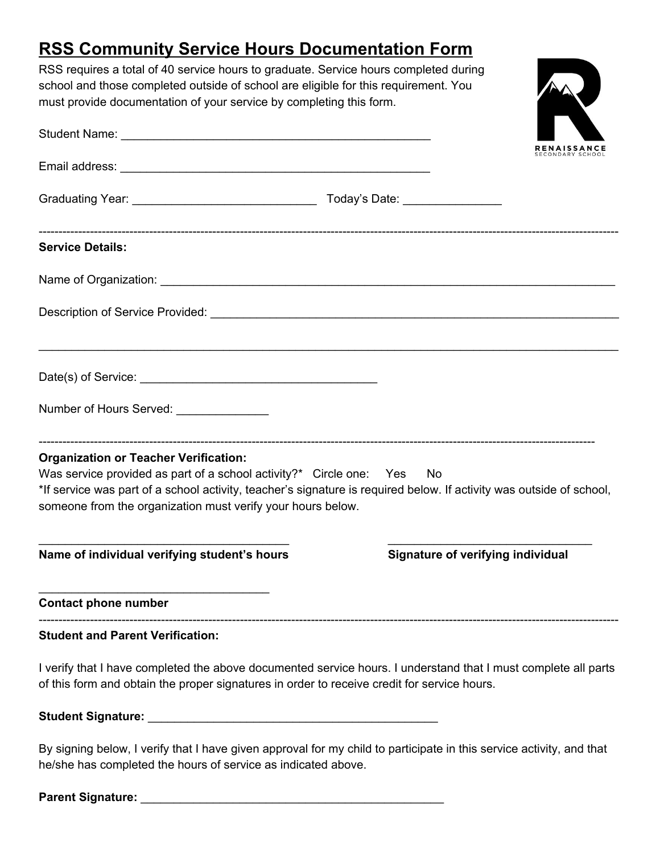## **RSS Community Service Hours Documentation Form**

RSS requires a total of 40 service hours to graduate. Service hours completed during school and those completed outside of school are eligible for this requirement. You must provide documentation of your service by completing this form.



By signing below, I verify that I have given approval for my child to participate in this service activity, and that he/she has completed the hours of service as indicated above.

**Parent Signature:** \_\_\_\_\_\_\_\_\_\_\_\_\_\_\_\_\_\_\_\_\_\_\_\_\_\_\_\_\_\_\_\_\_\_\_\_\_\_\_\_\_\_\_\_\_\_